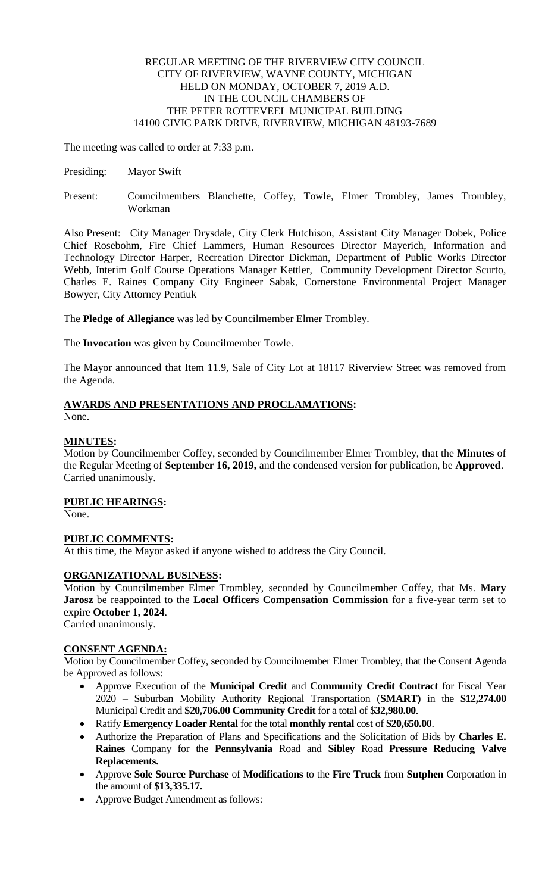## REGULAR MEETING OF THE RIVERVIEW CITY COUNCIL CITY OF RIVERVIEW, WAYNE COUNTY, MICHIGAN HELD ON MONDAY, OCTOBER 7, 2019 A.D. IN THE COUNCIL CHAMBERS OF THE PETER ROTTEVEEL MUNICIPAL BUILDING 14100 CIVIC PARK DRIVE, RIVERVIEW, MICHIGAN 48193-7689

The meeting was called to order at 7:33 p.m.

- Presiding: Mayor Swift
- Present: Councilmembers Blanchette, Coffey, Towle, Elmer Trombley, James Trombley, Workman

Also Present: City Manager Drysdale, City Clerk Hutchison, Assistant City Manager Dobek, Police Chief Rosebohm, Fire Chief Lammers, Human Resources Director Mayerich, Information and Technology Director Harper, Recreation Director Dickman, Department of Public Works Director Webb, Interim Golf Course Operations Manager Kettler, Community Development Director Scurto, Charles E. Raines Company City Engineer Sabak, Cornerstone Environmental Project Manager Bowyer, City Attorney Pentiuk

The **Pledge of Allegiance** was led by Councilmember Elmer Trombley.

The **Invocation** was given by Councilmember Towle.

The Mayor announced that Item 11.9, Sale of City Lot at 18117 Riverview Street was removed from the Agenda.

# **AWARDS AND PRESENTATIONS AND PROCLAMATIONS:**

None.

# **MINUTES:**

Motion by Councilmember Coffey, seconded by Councilmember Elmer Trombley, that the **Minutes** of the Regular Meeting of **September 16, 2019,** and the condensed version for publication, be **Approved**. Carried unanimously.

# **PUBLIC HEARINGS:**

None.

# **PUBLIC COMMENTS:**

At this time, the Mayor asked if anyone wished to address the City Council.

# **ORGANIZATIONAL BUSINESS:**

Motion by Councilmember Elmer Trombley, seconded by Councilmember Coffey, that Ms. **Mary Jarosz** be reappointed to the **Local Officers Compensation Commission** for a five-year term set to expire **October 1, 2024**.

Carried unanimously.

## **CONSENT AGENDA:**

Motion by Councilmember Coffey, seconded by Councilmember Elmer Trombley, that the Consent Agenda be Approved as follows:

- Approve Execution of the **Municipal Credit** and **Community Credit Contract** for Fiscal Year 2020 – Suburban Mobility Authority Regional Transportation (**SMART)** in the **\$12,274.00** Municipal Credit and **\$20,706.00 Community Credit** for a total of \$**32,980.00**.
- Ratify **Emergency Loader Rental** for the total **monthly rental** cost of **\$20,650.00**.
- Authorize the Preparation of Plans and Specifications and the Solicitation of Bids by **Charles E. Raines** Company for the **Pennsylvania** Road and **Sibley** Road **Pressure Reducing Valve Replacements.**
- Approve **Sole Source Purchase** of **Modifications** to the **Fire Truck** from **Sutphen** Corporation in the amount of **\$13,335.17.**
- Approve Budget Amendment as follows: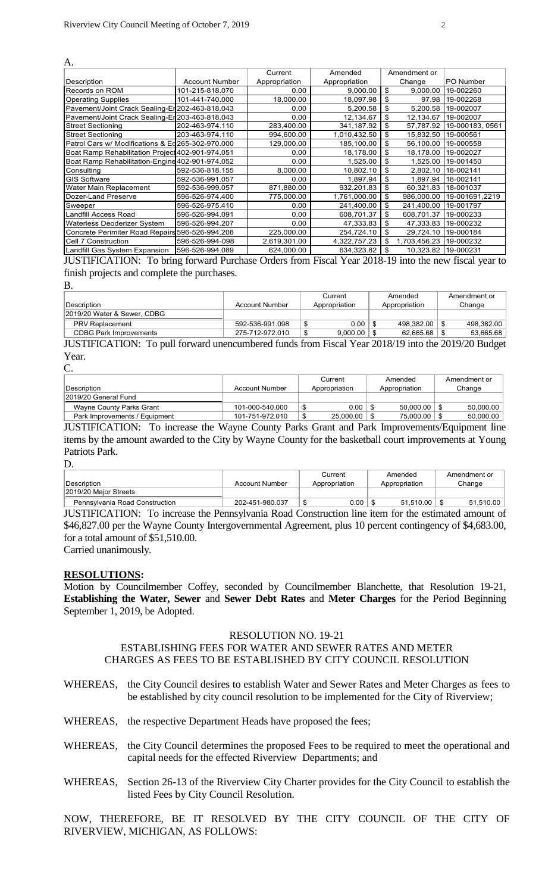| A.                                               |                       |               |               |                    |                 |
|--------------------------------------------------|-----------------------|---------------|---------------|--------------------|-----------------|
|                                                  |                       | Current       | Amended       | Amendment or       |                 |
| Description                                      | <b>Account Number</b> | Appropriation | Appropriation | Change             | PO Number       |
| Records on ROM                                   | 101-215-818.070       | 0.00          | 9,000.00      | \$<br>9,000.00     | 19-002260       |
| <b>Operating Supplies</b>                        | 101-441-740.000       | 18,000.00     | 18,097.98     | \$<br>97.98        | 19-002268       |
| Pavement/Joint Crack Sealing-Er 202-463-818.043  |                       | 0.00          | 5,200.58      | \$<br>5,200.58     | 19-002007       |
| Pavement/Joint Crack Sealing-Er 203-463-818.043  |                       | 0.00          | 12,134.67     | \$<br>12,134.67    | 19-002007       |
| <b>Street Sectioning</b>                         | 202-463-974.110       | 283,400.00    | 341,187.92    | \$<br>57,787.92    | 19-000183, 0561 |
| <b>Street Sectioning</b>                         | 203-463-974.110       | 994,600.00    | 1,010,432.50  | \$<br>15,832.50    | 19-000561       |
| Patrol Cars w/ Modifications & Ed265-302-970.000 |                       | 129,000.00    | 185,100.00    | \$<br>56,100.00    | 19-000558       |
| Boat Ramp Rehabilitation Project 402-901-974.051 |                       | 0.00          | 18.178.00     | \$<br>18,178.00    | 19-002027       |
| Boat Ramp Rehabilitation-Engine 402-901-974.052  |                       | 0.00          | 1,525.00      | \$<br>1,525.00     | 19-001450       |
| Consulting                                       | 592-536-818.155       | 8,000.00      | 10,802.10     | \$<br>2,802.10     | 18-002141       |
| <b>GIS Software</b>                              | 592-536-991.057       | 0.00          | 1,897.94      | \$<br>1,897.94     | 18-002141       |
| Water Main Replacement                           | 592-536-999.057       | 871,880.00    | 932,201.83    | \$<br>60,321.83    | 18-001037       |
| Dozer-Land Preserve                              | 596-526-974.400       | 775,000.00    | 1,761,000.00  | \$<br>986,000.00   | 19-001691,2219  |
| Sweeper                                          | 596-526-975.410       | 0.00          | 241,400.00    | \$<br>241,400.00   | 19-001797       |
| <b>Landfill Access Road</b>                      | 596-526-994.091       | 0.00          | 608,701.37    | \$<br>608,701.37   | 19-000233       |
| <b>Waterless Deoderizer System</b>               | 596-526-994.207       | 0.00          | 47,333.83     | \$<br>47,333.83    | 19-000232       |
| Concrete Perimiter Road Repairs 596-526-994.208  |                       | 225,000.00    | 254,724.10    | \$<br>29,724.10    | 19-000184       |
| Cell 7 Construction                              | 596-526-994-098       | 2,619,301.00  | 4,322,757.23  | \$<br>1,703,456.23 | 19-000232       |
| Landfill Gas System Expansion                    | 596-526-994.089       | 624,000.00    | 634,323.82    | 10,323.82          | 19-000231       |

JUSTIFICATION: To bring forward Purchase Orders from Fiscal Year 2018-19 into the new fiscal year to finish projects and complete the purchases.

B.

|                               |                 | Current       | Amended       | Amendment or |
|-------------------------------|-----------------|---------------|---------------|--------------|
| <b>IDescription</b>           | Account Number  | Appropriation | Appropriation | Change       |
| 2019/20 Water & Sewer, CDBG   |                 |               |               |              |
| <b>PRV Replacement</b>        | 592-536-991.098 | 0.00          | 498.382.00    | 498.382.00   |
| <b>CDBG Park Improvements</b> | 275-712-972.010 | 9.000.00      | 62.665.68     | 53.665.68    |
|                               |                 |               |               |              |

JUSTIFICATION: To pull forward unencumbered funds from Fiscal Year 2018/19 into the 2019/20 Budget Year.  $\Gamma$ 

|                               |                       | Current       | Amended       | Amendment or |
|-------------------------------|-----------------------|---------------|---------------|--------------|
| Description                   | <b>Account Number</b> | Appropriation | Appropriation | Change       |
| 2019/20 General Fund          |                       |               |               |              |
| Wayne County Parks Grant      | 101-000-540.000       | 0.00          | 50.000.00     | 50.000.00    |
| Park Improvements / Equipment | 101-751-972.010       | 25,000.00     | 75.000.00     | 50,000.00    |

JUSTIFICATION: To increase the Wayne County Parks Grant and Park Improvements/Equipment line items by the amount awarded to the City by Wayne County for the basketball court improvements at Young Patriots Park.

D.

|                                |                 | Current       | Amended       | Amendment or |
|--------------------------------|-----------------|---------------|---------------|--------------|
| Description                    | Account Number  | Appropriation | Appropriation | Change       |
| 2019/20 Maior Streets          |                 |               |               |              |
| Pennsylvania Road Construction | 202-451-980.037 | 0.00<br>ъ     | 51.510.00     | 51.510.00    |

JUSTIFICATION: To increase the Pennsylvania Road Construction line item for the estimated amount of \$46,827.00 per the Wayne County Intergovernmental Agreement, plus 10 percent contingency of \$4,683.00, for a total amount of \$51,510.00.

Carried unanimously.

#### **RESOLUTIONS:**

Motion by Councilmember Coffey, seconded by Councilmember Blanchette, that Resolution 19-21, **Establishing the Water, Sewer** and **Sewer Debt Rates** and **Meter Charges** for the Period Beginning September 1, 2019, be Adopted.

# RESOLUTION NO. 19-21

# ESTABLISHING FEES FOR WATER AND SEWER RATES AND METER CHARGES AS FEES TO BE ESTABLISHED BY CITY COUNCIL RESOLUTION

- WHEREAS, the City Council desires to establish Water and Sewer Rates and Meter Charges as fees to be established by city council resolution to be implemented for the City of Riverview;
- WHEREAS, the respective Department Heads have proposed the fees;
- WHEREAS, the City Council determines the proposed Fees to be required to meet the operational and capital needs for the effected Riverview Departments; and
- WHEREAS, Section 26-13 of the Riverview City Charter provides for the City Council to establish the listed Fees by City Council Resolution.

NOW, THEREFORE, BE IT RESOLVED BY THE CITY COUNCIL OF THE CITY OF RIVERVIEW, MICHIGAN, AS FOLLOWS: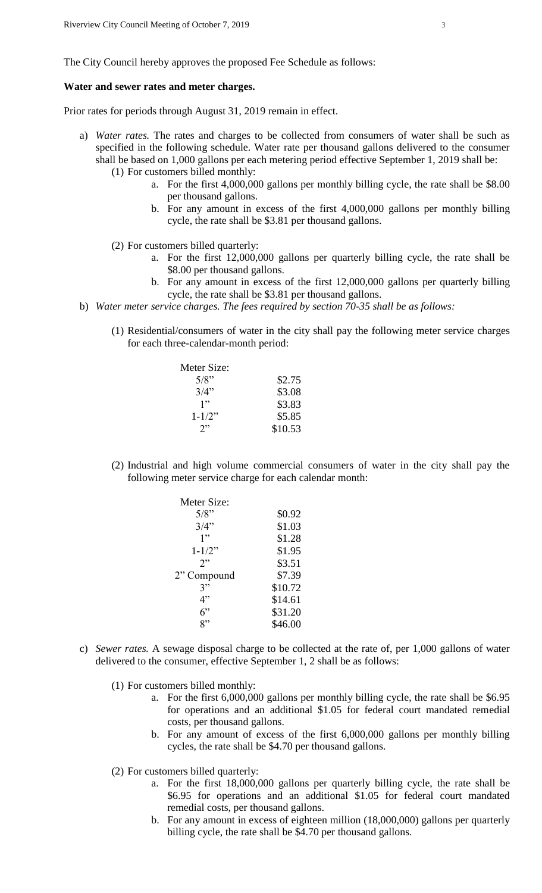The City Council hereby approves the proposed Fee Schedule as follows:

#### **Water and sewer rates and meter charges.**

Prior rates for periods through August 31, 2019 remain in effect.

- a) *Water rates.* The rates and charges to be collected from consumers of water shall be such as specified in the following schedule. Water rate per thousand gallons delivered to the consumer shall be based on 1,000 gallons per each metering period effective September 1, 2019 shall be: (1) For customers billed monthly:
	- a. For the first 4,000,000 gallons per monthly billing cycle, the rate shall be \$8.00 per thousand gallons.
	- b. For any amount in excess of the first 4,000,000 gallons per monthly billing cycle, the rate shall be \$3.81 per thousand gallons.
	- (2) For customers billed quarterly:
		- a. For the first 12,000,000 gallons per quarterly billing cycle, the rate shall be \$8.00 per thousand gallons.
		- b. For any amount in excess of the first 12,000,000 gallons per quarterly billing cycle, the rate shall be \$3.81 per thousand gallons.
- b) *Water meter service charges. The fees required by section 70-35 shall be as follows:*
	- (1) Residential/consumers of water in the city shall pay the following meter service charges for each three-calendar-month period:

| Meter Size: |         |
|-------------|---------|
| 5/8"        | \$2.75  |
| 3/4"        | \$3.08  |
| 1"          | \$3.83  |
| $1 - 1/2$ " | \$5.85  |
| 7"          | \$10.53 |

(2) Industrial and high volume commercial consumers of water in the city shall pay the following meter service charge for each calendar month:

| Meter Size: |         |
|-------------|---------|
| 5/8"        | \$0.92  |
| 3/4"        | \$1.03  |
| 1"          | \$1.28  |
| $1 - 1/2$ " | \$1.95  |
| 2           | \$3.51  |
| 2" Compound | \$7.39  |
| 3"          | \$10.72 |
| 4"          | \$14.61 |
| 6"          | \$31.20 |
| 2"          | \$46.00 |

- c) *Sewer rates.* A sewage disposal charge to be collected at the rate of, per 1,000 gallons of water delivered to the consumer, effective September 1, 2 shall be as follows:
	- (1) For customers billed monthly:
		- a. For the first 6,000,000 gallons per monthly billing cycle, the rate shall be \$6.95 for operations and an additional \$1.05 for federal court mandated remedial costs, per thousand gallons.
		- b. For any amount of excess of the first 6,000,000 gallons per monthly billing cycles, the rate shall be \$4.70 per thousand gallons.
	- (2) For customers billed quarterly:
		- a. For the first 18,000,000 gallons per quarterly billing cycle, the rate shall be \$6.95 for operations and an additional \$1.05 for federal court mandated remedial costs, per thousand gallons.
		- b. For any amount in excess of eighteen million (18,000,000) gallons per quarterly billing cycle, the rate shall be \$4.70 per thousand gallons.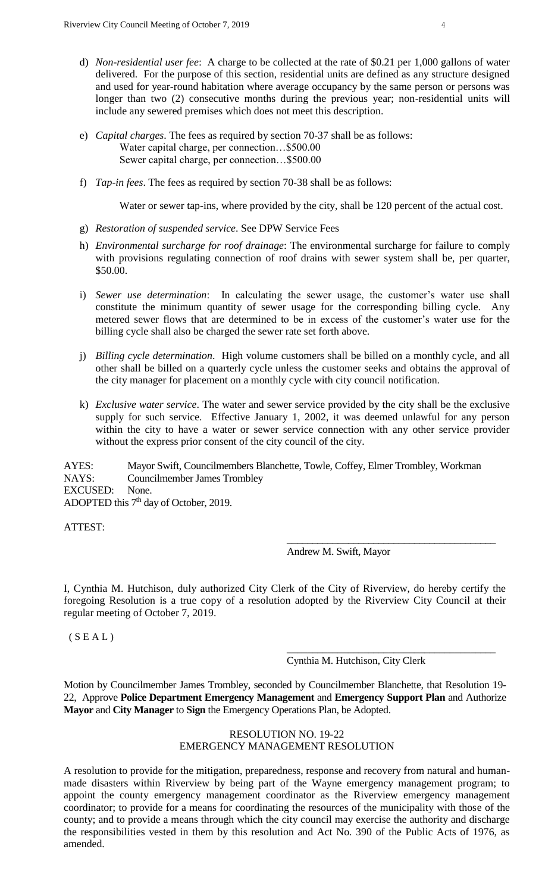- d) *Non-residential user fee*: A charge to be collected at the rate of \$0.21 per 1,000 gallons of water delivered. For the purpose of this section, residential units are defined as any structure designed and used for year-round habitation where average occupancy by the same person or persons was longer than two (2) consecutive months during the previous year; non-residential units will include any sewered premises which does not meet this description.
- e) *Capital charges*. The fees as required by section 70-37 shall be as follows: Water capital charge, per connection…\$500.00 Sewer capital charge, per connection…\$500.00
- f) *Tap-in fees*. The fees as required by section 70-38 shall be as follows:

Water or sewer tap-ins, where provided by the city, shall be 120 percent of the actual cost.

- g) *Restoration of suspended service*. See DPW Service Fees
- h) *Environmental surcharge for roof drainage*: The environmental surcharge for failure to comply with provisions regulating connection of roof drains with sewer system shall be, per quarter, \$50.00.
- i) *Sewer use determination*: In calculating the sewer usage, the customer's water use shall constitute the minimum quantity of sewer usage for the corresponding billing cycle. Any metered sewer flows that are determined to be in excess of the customer's water use for the billing cycle shall also be charged the sewer rate set forth above.
- j) *Billing cycle determination*. High volume customers shall be billed on a monthly cycle, and all other shall be billed on a quarterly cycle unless the customer seeks and obtains the approval of the city manager for placement on a monthly cycle with city council notification.
- k) *Exclusive water service*. The water and sewer service provided by the city shall be the exclusive supply for such service. Effective January 1, 2002, it was deemed unlawful for any person within the city to have a water or sewer service connection with any other service provider without the express prior consent of the city council of the city.

AYES: Mayor Swift, Councilmembers Blanchette, Towle, Coffey, Elmer Trombley, Workman NAYS: Councilmember James Trombley EXCUSED: None. ADOPTED this 7<sup>th</sup> day of October, 2019.

ATTEST:

Andrew M. Swift, Mayor

\_\_\_\_\_\_\_\_\_\_\_\_\_\_\_\_\_\_\_\_\_\_\_\_\_\_\_\_\_\_\_\_\_\_\_\_\_\_\_\_\_

\_\_\_\_\_\_\_\_\_\_\_\_\_\_\_\_\_\_\_\_\_\_\_\_\_\_\_\_\_\_\_\_\_\_\_\_\_\_\_\_\_

I, Cynthia M. Hutchison, duly authorized City Clerk of the City of Riverview, do hereby certify the foregoing Resolution is a true copy of a resolution adopted by the Riverview City Council at their regular meeting of October 7, 2019.

 $(S E A L)$ 

Cynthia M. Hutchison, City Clerk

Motion by Councilmember James Trombley, seconded by Councilmember Blanchette, that Resolution 19- 22, Approve **Police Department Emergency Management** and **Emergency Support Plan** and Authorize **Mayor** and **City Manager** to **Sign** the Emergency Operations Plan, be Adopted.

# RESOLUTION NO. 19-22 EMERGENCY MANAGEMENT RESOLUTION

A resolution to provide for the mitigation, preparedness, response and recovery from natural and humanmade disasters within Riverview by being part of the Wayne emergency management program; to appoint the county emergency management coordinator as the Riverview emergency management coordinator; to provide for a means for coordinating the resources of the municipality with those of the county; and to provide a means through which the city council may exercise the authority and discharge the responsibilities vested in them by this resolution and Act No. 390 of the Public Acts of 1976, as amended.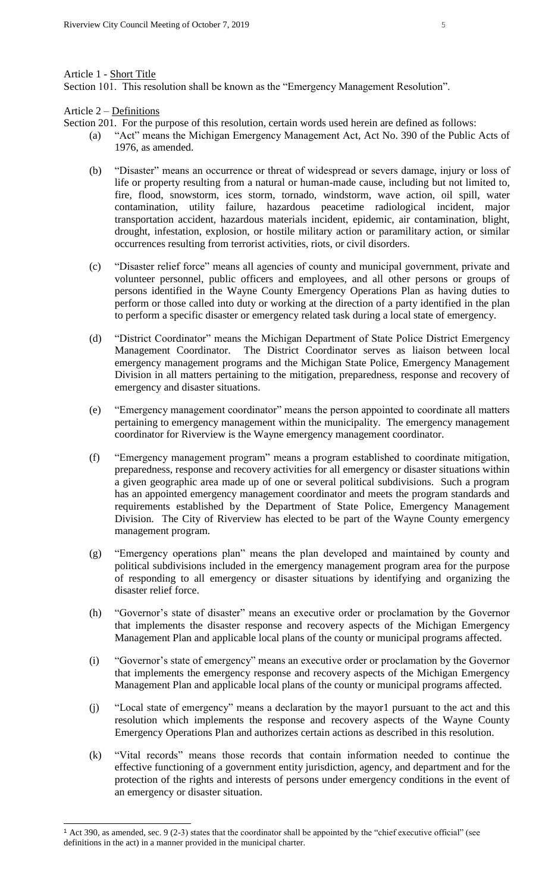#### Article 1 - Short Title

Section 101. This resolution shall be known as the "Emergency Management Resolution".

Article 2 – Definitions

- Section 201. For the purpose of this resolution, certain words used herein are defined as follows:
	- (a) "Act" means the Michigan Emergency Management Act, Act No. 390 of the Public Acts of 1976, as amended.
	- (b) "Disaster" means an occurrence or threat of widespread or severs damage, injury or loss of life or property resulting from a natural or human-made cause, including but not limited to, fire, flood, snowstorm, ices storm, tornado, windstorm, wave action, oil spill, water contamination, utility failure, hazardous peacetime radiological incident, major transportation accident, hazardous materials incident, epidemic, air contamination, blight, drought, infestation, explosion, or hostile military action or paramilitary action, or similar occurrences resulting from terrorist activities, riots, or civil disorders.
	- (c) "Disaster relief force" means all agencies of county and municipal government, private and volunteer personnel, public officers and employees, and all other persons or groups of persons identified in the Wayne County Emergency Operations Plan as having duties to perform or those called into duty or working at the direction of a party identified in the plan to perform a specific disaster or emergency related task during a local state of emergency.
	- (d) "District Coordinator" means the Michigan Department of State Police District Emergency Management Coordinator. The District Coordinator serves as liaison between local emergency management programs and the Michigan State Police, Emergency Management Division in all matters pertaining to the mitigation, preparedness, response and recovery of emergency and disaster situations.
	- (e) "Emergency management coordinator" means the person appointed to coordinate all matters pertaining to emergency management within the municipality. The emergency management coordinator for Riverview is the Wayne emergency management coordinator.
	- (f) "Emergency management program" means a program established to coordinate mitigation, preparedness, response and recovery activities for all emergency or disaster situations within a given geographic area made up of one or several political subdivisions. Such a program has an appointed emergency management coordinator and meets the program standards and requirements established by the Department of State Police, Emergency Management Division. The City of Riverview has elected to be part of the Wayne County emergency management program.
	- (g) "Emergency operations plan" means the plan developed and maintained by county and political subdivisions included in the emergency management program area for the purpose of responding to all emergency or disaster situations by identifying and organizing the disaster relief force.
	- (h) "Governor's state of disaster" means an executive order or proclamation by the Governor that implements the disaster response and recovery aspects of the Michigan Emergency Management Plan and applicable local plans of the county or municipal programs affected.
	- (i) "Governor's state of emergency" means an executive order or proclamation by the Governor that implements the emergency response and recovery aspects of the Michigan Emergency Management Plan and applicable local plans of the county or municipal programs affected.
	- (j) "Local state of emergency" means a declaration by the mayor1 pursuant to the act and this resolution which implements the response and recovery aspects of the Wayne County Emergency Operations Plan and authorizes certain actions as described in this resolution.
	- (k) "Vital records" means those records that contain information needed to continue the effective functioning of a government entity jurisdiction, agency, and department and for the protection of the rights and interests of persons under emergency conditions in the event of an emergency or disaster situation.

<sup>1</sup> Act 390, as amended, sec. 9 (2-3) states that the coordinator shall be appointed by the "chief executive official" (see definitions in the act) in a manner provided in the municipal charter.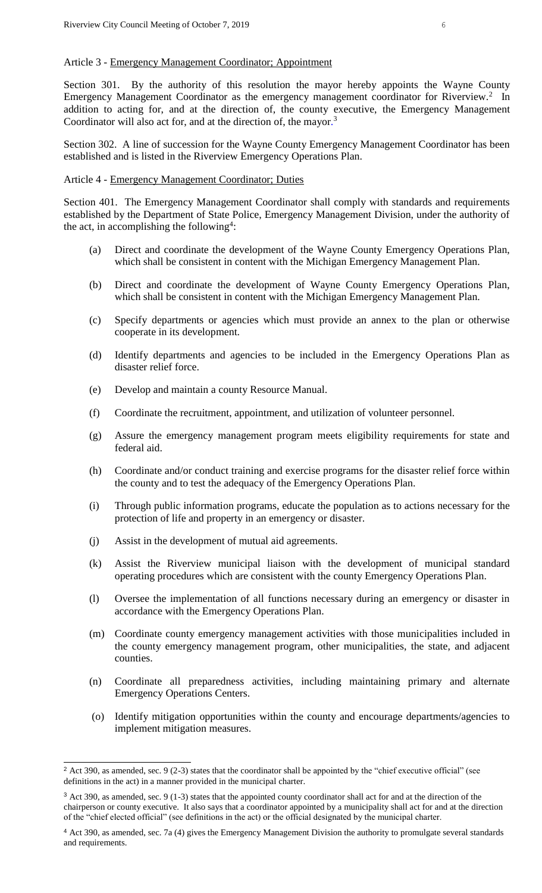#### Article 3 - Emergency Management Coordinator; Appointment

Section 301. By the authority of this resolution the mayor hereby appoints the Wayne County Emergency Management Coordinator as the emergency management coordinator for Riverview.<sup>2</sup> In addition to acting for, and at the direction of, the county executive, the Emergency Management Coordinator will also act for, and at the direction of, the mayor.<sup>3</sup>

Section 302. A line of succession for the Wayne County Emergency Management Coordinator has been established and is listed in the Riverview Emergency Operations Plan.

## Article 4 - Emergency Management Coordinator; Duties

Section 401. The Emergency Management Coordinator shall comply with standards and requirements established by the Department of State Police, Emergency Management Division, under the authority of the act, in accomplishing the following<sup>4</sup>:

- (a) Direct and coordinate the development of the Wayne County Emergency Operations Plan, which shall be consistent in content with the Michigan Emergency Management Plan.
- (b) Direct and coordinate the development of Wayne County Emergency Operations Plan, which shall be consistent in content with the Michigan Emergency Management Plan.
- (c) Specify departments or agencies which must provide an annex to the plan or otherwise cooperate in its development.
- (d) Identify departments and agencies to be included in the Emergency Operations Plan as disaster relief force.
- (e) Develop and maintain a county Resource Manual.
- (f) Coordinate the recruitment, appointment, and utilization of volunteer personnel.
- (g) Assure the emergency management program meets eligibility requirements for state and federal aid.
- (h) Coordinate and/or conduct training and exercise programs for the disaster relief force within the county and to test the adequacy of the Emergency Operations Plan.
- (i) Through public information programs, educate the population as to actions necessary for the protection of life and property in an emergency or disaster.
- (j) Assist in the development of mutual aid agreements.

- (k) Assist the Riverview municipal liaison with the development of municipal standard operating procedures which are consistent with the county Emergency Operations Plan.
- (l) Oversee the implementation of all functions necessary during an emergency or disaster in accordance with the Emergency Operations Plan.
- (m) Coordinate county emergency management activities with those municipalities included in the county emergency management program, other municipalities, the state, and adjacent counties.
- (n) Coordinate all preparedness activities, including maintaining primary and alternate Emergency Operations Centers.
- (o) Identify mitigation opportunities within the county and encourage departments/agencies to implement mitigation measures.

<sup>&</sup>lt;sup>2</sup> Act 390, as amended, sec. 9 (2-3) states that the coordinator shall be appointed by the "chief executive official" (see definitions in the act) in a manner provided in the municipal charter.

<sup>&</sup>lt;sup>3</sup> Act 390, as amended, sec. 9 (1-3) states that the appointed county coordinator shall act for and at the direction of the chairperson or county executive. It also says that a coordinator appointed by a municipality shall act for and at the direction of the "chief elected official" (see definitions in the act) or the official designated by the municipal charter.

<sup>4</sup> Act 390, as amended, sec. 7a (4) gives the Emergency Management Division the authority to promulgate several standards and requirements.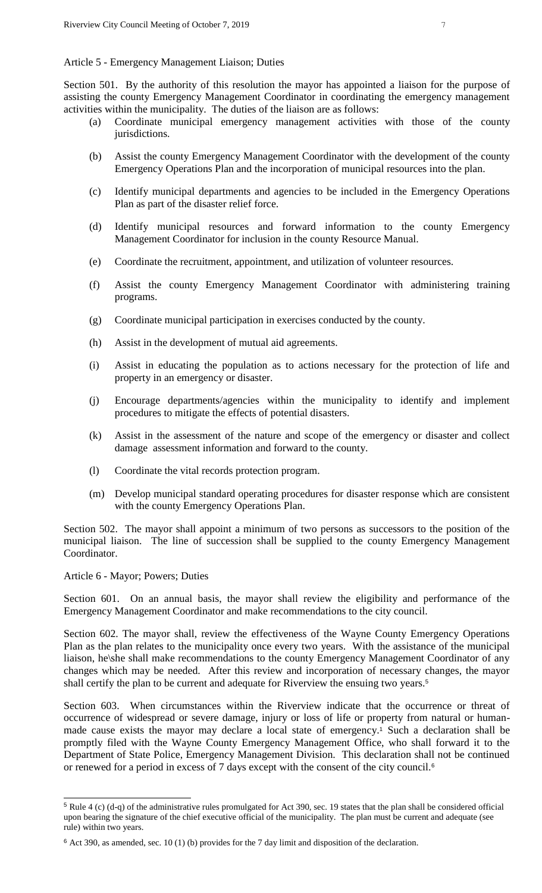## Article 5 - Emergency Management Liaison; Duties

Section 501. By the authority of this resolution the mayor has appointed a liaison for the purpose of assisting the county Emergency Management Coordinator in coordinating the emergency management activities within the municipality. The duties of the liaison are as follows:

- (a) Coordinate municipal emergency management activities with those of the county jurisdictions.
- (b) Assist the county Emergency Management Coordinator with the development of the county Emergency Operations Plan and the incorporation of municipal resources into the plan.
- (c) Identify municipal departments and agencies to be included in the Emergency Operations Plan as part of the disaster relief force.
- (d) Identify municipal resources and forward information to the county Emergency Management Coordinator for inclusion in the county Resource Manual.
- (e) Coordinate the recruitment, appointment, and utilization of volunteer resources.
- (f) Assist the county Emergency Management Coordinator with administering training programs.
- (g) Coordinate municipal participation in exercises conducted by the county.
- (h) Assist in the development of mutual aid agreements.
- (i) Assist in educating the population as to actions necessary for the protection of life and property in an emergency or disaster.
- (j) Encourage departments/agencies within the municipality to identify and implement procedures to mitigate the effects of potential disasters.
- (k) Assist in the assessment of the nature and scope of the emergency or disaster and collect damage assessment information and forward to the county.
- (l) Coordinate the vital records protection program.
- (m) Develop municipal standard operating procedures for disaster response which are consistent with the county Emergency Operations Plan.

Section 502. The mayor shall appoint a minimum of two persons as successors to the position of the municipal liaison. The line of succession shall be supplied to the county Emergency Management Coordinator.

Article 6 - Mayor; Powers; Duties

i<br>L

Section 601. On an annual basis, the mayor shall review the eligibility and performance of the Emergency Management Coordinator and make recommendations to the city council.

Section 602. The mayor shall, review the effectiveness of the Wayne County Emergency Operations Plan as the plan relates to the municipality once every two years. With the assistance of the municipal liaison, he\she shall make recommendations to the county Emergency Management Coordinator of any changes which may be needed. After this review and incorporation of necessary changes, the mayor shall certify the plan to be current and adequate for Riverview the ensuing two years.<sup>5</sup>

Section 603. When circumstances within the Riverview indicate that the occurrence or threat of occurrence of widespread or severe damage, injury or loss of life or property from natural or humanmade cause exists the mayor may declare a local state of emergency.<sup>1</sup> Such a declaration shall be promptly filed with the Wayne County Emergency Management Office, who shall forward it to the Department of State Police, Emergency Management Division. This declaration shall not be continued or renewed for a period in excess of 7 days except with the consent of the city council.<sup>6</sup>

 $5$  Rule 4 (c) (d-q) of the administrative rules promulgated for Act 390, sec. 19 states that the plan shall be considered official upon bearing the signature of the chief executive official of the municipality. The plan must be current and adequate (see rule) within two years.

 $6$  Act 390, as amended, sec. 10 (1) (b) provides for the 7 day limit and disposition of the declaration.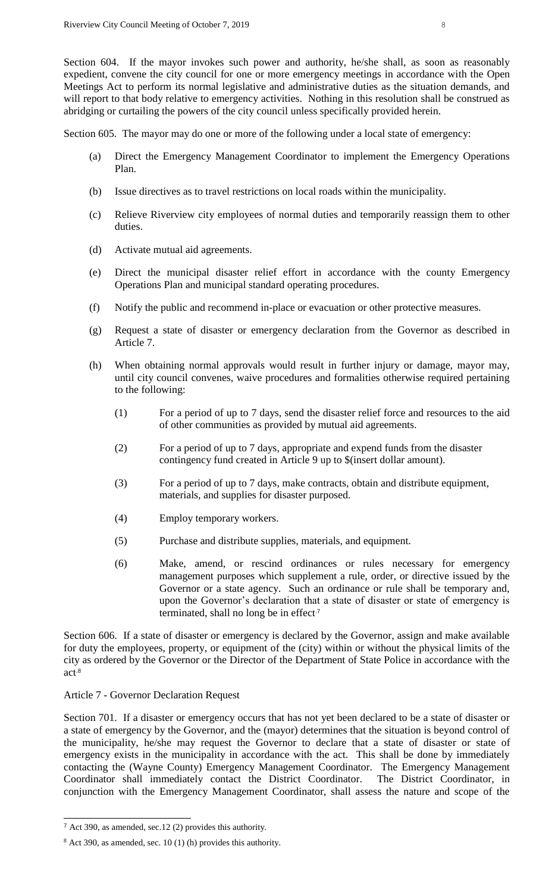Section 604. If the mayor invokes such power and authority, he/she shall, as soon as reasonably expedient, convene the city council for one or more emergency meetings in accordance with the Open Meetings Act to perform its normal legislative and administrative duties as the situation demands, and will report to that body relative to emergency activities. Nothing in this resolution shall be construed as abridging or curtailing the powers of the city council unless specifically provided herein.

Section 605. The mayor may do one or more of the following under a local state of emergency:

- (a) Direct the Emergency Management Coordinator to implement the Emergency Operations Plan.
- (b) Issue directives as to travel restrictions on local roads within the municipality.
- (c) Relieve Riverview city employees of normal duties and temporarily reassign them to other duties.
- (d) Activate mutual aid agreements.
- (e) Direct the municipal disaster relief effort in accordance with the county Emergency Operations Plan and municipal standard operating procedures.
- (f) Notify the public and recommend in-place or evacuation or other protective measures.
- (g) Request a state of disaster or emergency declaration from the Governor as described in Article 7.
- (h) When obtaining normal approvals would result in further injury or damage, mayor may, until city council convenes, waive procedures and formalities otherwise required pertaining to the following:
	- (1) For a period of up to 7 days, send the disaster relief force and resources to the aid of other communities as provided by mutual aid agreements.
	- (2) For a period of up to 7 days, appropriate and expend funds from the disaster contingency fund created in Article 9 up to \$(insert dollar amount).
	- (3) For a period of up to 7 days, make contracts, obtain and distribute equipment, materials, and supplies for disaster purposed.
	- (4) Employ temporary workers.
	- (5) Purchase and distribute supplies, materials, and equipment.
	- (6) Make, amend, or rescind ordinances or rules necessary for emergency management purposes which supplement a rule, order, or directive issued by the Governor or a state agency. Such an ordinance or rule shall be temporary and, upon the Governor's declaration that a state of disaster or state of emergency is terminated, shall no long be in effect<sup>7</sup>

Section 606. If a state of disaster or emergency is declared by the Governor, assign and make available for duty the employees, property, or equipment of the (city) within or without the physical limits of the city as ordered by the Governor or the Director of the Department of State Police in accordance with the act.8

# Article 7 - Governor Declaration Request

Section 701. If a disaster or emergency occurs that has not yet been declared to be a state of disaster or a state of emergency by the Governor, and the (mayor) determines that the situation is beyond control of the municipality, he/she may request the Governor to declare that a state of disaster or state of emergency exists in the municipality in accordance with the act. This shall be done by immediately contacting the (Wayne County) Emergency Management Coordinator. The Emergency Management Coordinator shall immediately contact the District Coordinator. The District Coordinator, in conjunction with the Emergency Management Coordinator, shall assess the nature and scope of the

<sup>7</sup> Act 390, as amended, sec.12 (2) provides this authority.

<sup>8</sup> Act 390, as amended, sec. 10 (1) (h) provides this authority.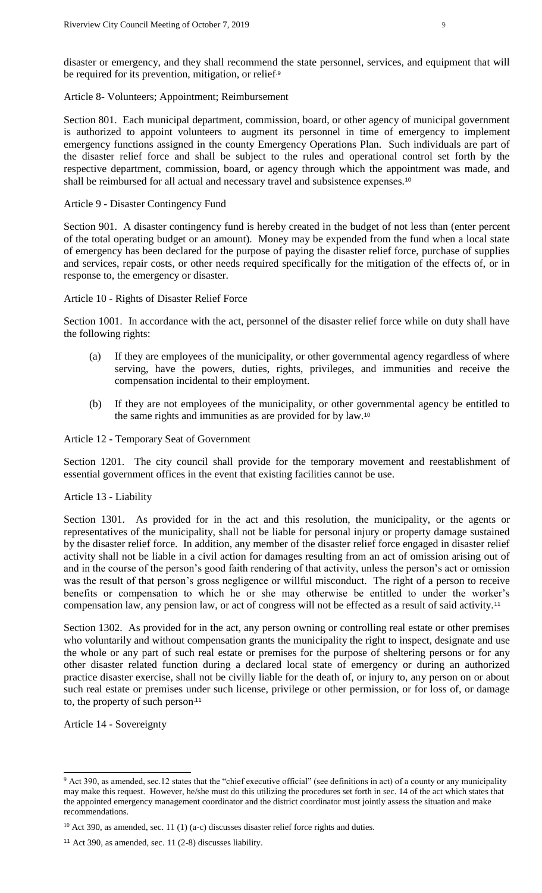disaster or emergency, and they shall recommend the state personnel, services, and equipment that will be required for its prevention, mitigation, or relief<sup>.9</sup>

## Article 8- Volunteers; Appointment; Reimbursement

Section 801. Each municipal department, commission, board, or other agency of municipal government is authorized to appoint volunteers to augment its personnel in time of emergency to implement emergency functions assigned in the county Emergency Operations Plan. Such individuals are part of the disaster relief force and shall be subject to the rules and operational control set forth by the respective department, commission, board, or agency through which the appointment was made, and shall be reimbursed for all actual and necessary travel and subsistence expenses.<sup>10</sup>

## Article 9 - Disaster Contingency Fund

Section 901. A disaster contingency fund is hereby created in the budget of not less than (enter percent of the total operating budget or an amount). Money may be expended from the fund when a local state of emergency has been declared for the purpose of paying the disaster relief force, purchase of supplies and services, repair costs, or other needs required specifically for the mitigation of the effects of, or in response to, the emergency or disaster.

#### Article 10 - Rights of Disaster Relief Force

Section 1001. In accordance with the act, personnel of the disaster relief force while on duty shall have the following rights:

- (a) If they are employees of the municipality, or other governmental agency regardless of where serving, have the powers, duties, rights, privileges, and immunities and receive the compensation incidental to their employment.
- (b) If they are not employees of the municipality, or other governmental agency be entitled to the same rights and immunities as are provided for by law.<sup>10</sup>

Article 12 - Temporary Seat of Government

Section 1201. The city council shall provide for the temporary movement and reestablishment of essential government offices in the event that existing facilities cannot be use.

## Article 13 - Liability

Section 1301. As provided for in the act and this resolution, the municipality, or the agents or representatives of the municipality, shall not be liable for personal injury or property damage sustained by the disaster relief force. In addition, any member of the disaster relief force engaged in disaster relief activity shall not be liable in a civil action for damages resulting from an act of omission arising out of and in the course of the person's good faith rendering of that activity, unless the person's act or omission was the result of that person's gross negligence or willful misconduct. The right of a person to receive benefits or compensation to which he or she may otherwise be entitled to under the worker's compensation law, any pension law, or act of congress will not be effected as a result of said activity.<sup>11</sup>

Section 1302. As provided for in the act, any person owning or controlling real estate or other premises who voluntarily and without compensation grants the municipality the right to inspect, designate and use the whole or any part of such real estate or premises for the purpose of sheltering persons or for any other disaster related function during a declared local state of emergency or during an authorized practice disaster exercise, shall not be civilly liable for the death of, or injury to, any person on or about such real estate or premises under such license, privilege or other permission, or for loss of, or damage to, the property of such person.11

Article 14 - Sovereignty

<sup>&</sup>lt;sup>9</sup> Act 390, as amended, sec.12 states that the "chief executive official" (see definitions in act) of a county or any municipality may make this request. However, he/she must do this utilizing the procedures set forth in sec. 14 of the act which states that the appointed emergency management coordinator and the district coordinator must jointly assess the situation and make recommendations.

 $10$  Act 390, as amended, sec. 11 (1) (a-c) discusses disaster relief force rights and duties.

<sup>11</sup> Act 390, as amended, sec. 11 (2-8) discusses liability.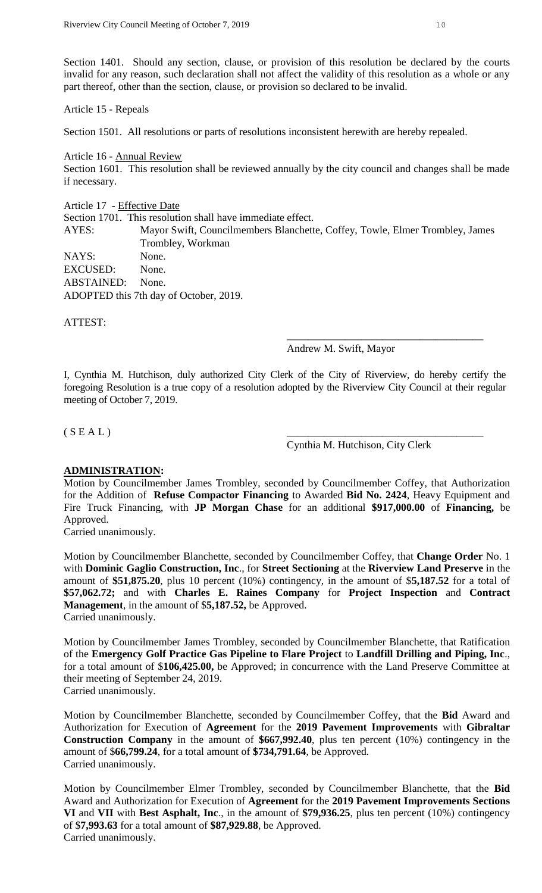Section 1401. Should any section, clause, or provision of this resolution be declared by the courts invalid for any reason, such declaration shall not affect the validity of this resolution as a whole or any part thereof, other than the section, clause, or provision so declared to be invalid.

#### Article 15 - Repeals

Section 1501. All resolutions or parts of resolutions inconsistent herewith are hereby repealed.

#### Article 16 - Annual Review

Section 1601. This resolution shall be reviewed annually by the city council and changes shall be made if necessary.

#### Article 17 - Effective Date

Section 1701. This resolution shall have immediate effect. AYES: Mayor Swift, Councilmembers Blanchette, Coffey, Towle, Elmer Trombley, James Trombley, Workman NAYS: None. EXCUSED: None. ABSTAINED: None. ADOPTED this 7th day of October, 2019.

ATTEST:

#### Andrew M. Swift, Mayor

\_\_\_\_\_\_\_\_\_\_\_\_\_\_\_\_\_\_\_\_\_\_\_\_\_\_\_\_\_\_\_\_\_\_\_\_\_

I, Cynthia M. Hutchison, duly authorized City Clerk of the City of Riverview, do hereby certify the foregoing Resolution is a true copy of a resolution adopted by the Riverview City Council at their regular meeting of October 7, 2019.

## $(S E A L)$

Cynthia M. Hutchison, City Clerk

# **ADMINISTRATION:**

Motion by Councilmember James Trombley, seconded by Councilmember Coffey, that Authorization for the Addition of **Refuse Compactor Financing** to Awarded **Bid No. 2424**, Heavy Equipment and Fire Truck Financing, with **JP Morgan Chase** for an additional **\$917,000.00** of **Financing,** be Approved.

Carried unanimously.

Motion by Councilmember Blanchette, seconded by Councilmember Coffey, that **Change Order** No. 1 with **Dominic Gaglio Construction, Inc**., for **Street Sectioning** at the **Riverview Land Preserve** in the amount of **\$51,875.20**, plus 10 percent (10%) contingency, in the amount of \$**5,187.52** for a total of **\$57,062.72;** and with **Charles E. Raines Company** for **Project Inspection** and **Contract Management**, in the amount of \$**5,187.52,** be Approved. Carried unanimously.

Motion by Councilmember James Trombley, seconded by Councilmember Blanchette, that Ratification of the **Emergency Golf Practice Gas Pipeline to Flare Project** to **Landfill Drilling and Piping, Inc**., for a total amount of \$**106,425.00,** be Approved; in concurrence with the Land Preserve Committee at their meeting of September 24, 2019. Carried unanimously.

Motion by Councilmember Blanchette, seconded by Councilmember Coffey, that the **Bid** Award and Authorization for Execution of **Agreement** for the **2019 Pavement Improvements** with **Gibraltar Construction Company** in the amount of **\$667,992.40**, plus ten percent (10%) contingency in the amount of \$**66,799.24**, for a total amount of **\$734,791.64**, be Approved. Carried unanimously.

Motion by Councilmember Elmer Trombley, seconded by Councilmember Blanchette, that the **Bid** Award and Authorization for Execution of **Agreement** for the **2019 Pavement Improvements Sections VI** and **VII** with **Best Asphalt, Inc**., in the amount of **\$79,936.25**, plus ten percent (10%) contingency of \$**7,993.63** for a total amount of **\$87,929.88**, be Approved. Carried unanimously.